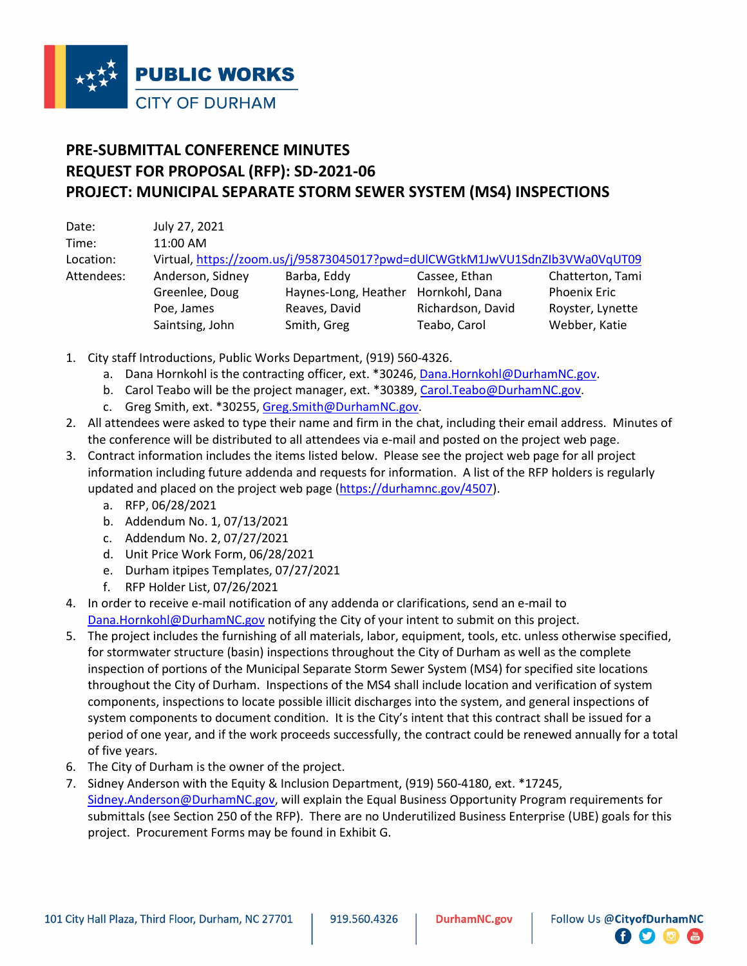

## **PRE-SUBMITTAL CONFERENCE MINUTES REQUEST FOR PROPOSAL (RFP): SD-2021-06 PROJECT: MUNICIPAL SEPARATE STORM SEWER SYSTEM (MS4) INSPECTIONS**

| Date:      | July 27, 2021                                                               |                      |                   |                     |
|------------|-----------------------------------------------------------------------------|----------------------|-------------------|---------------------|
| Time:      | 11:00 AM                                                                    |                      |                   |                     |
| Location:  | Virtual, https://zoom.us/j/95873045017?pwd=dUlCWGtkM1JwVU1SdnZlb3VWa0VqUT09 |                      |                   |                     |
| Attendees: | Anderson, Sidney                                                            | Barba, Eddy          | Cassee, Ethan     | Chatterton, Tami    |
|            | Greenlee, Doug                                                              | Haynes-Long, Heather | Hornkohl, Dana    | <b>Phoenix Eric</b> |
|            | Poe, James                                                                  | Reaves, David        | Richardson, David | Royster, Lynette    |
|            | Saintsing, John                                                             | Smith, Greg          | Teabo, Carol      | Webber, Katie       |

- 1. City staff Introductions, Public Works Department, (919) 560-4326.
	- a. Dana Hornkohl is the contracting officer, ext. \*30246, [Dana.Hornkohl@DurhamNC.gov.](mailto:Dana.Hornkohl@DurhamNC.gov)
	- b. Carol Teabo will be the project manager, ext. \*30389[, Carol.Teabo@DurhamNC.gov.](mailto:Carol.Teabo@DurhamNC.gov)
	- c. Greg Smith, ext. \*30255[, Greg.Smith@DurhamNC.gov.](mailto:Greg.Smith@DurhamNC.gov)
- 2. All attendees were asked to type their name and firm in the chat, including their email address. Minutes of the conference will be distributed to all attendees via e-mail and posted on the project web page.
- 3. Contract information includes the items listed below. Please see the project web page for all project information including future addenda and requests for information. A list of the RFP holders is regularly updated and placed on the project web page [\(https://durhamnc.gov/4507\)](https://durhamnc.gov/4507).
	- a. RFP, 06/28/2021
	- b. Addendum No. 1, 07/13/2021
	- c. Addendum No. 2, 07/27/2021
	- d. Unit Price Work Form, 06/28/2021
	- e. Durham itpipes Templates, 07/27/2021
	- f. RFP Holder List, 07/26/2021
- 4. In order to receive e-mail notification of any addenda or clarifications, send an e-mail to [Dana.Hornkohl@DurhamNC.gov](mailto:Dana.Hornkohl@DurhamNC.gov) notifying the City of your intent to submit on this project.
- 5. The project includes the furnishing of all materials, labor, equipment, tools, etc. unless otherwise specified, for stormwater structure (basin) inspections throughout the City of Durham as well as the complete inspection of portions of the Municipal Separate Storm Sewer System (MS4) for specified site locations throughout the City of Durham. Inspections of the MS4 shall include location and verification of system components, inspections to locate possible illicit discharges into the system, and general inspections of system components to document condition. It is the City's intent that this contract shall be issued for a period of one year, and if the work proceeds successfully, the contract could be renewed annually for a total of five years.
- 6. The City of Durham is the owner of the project.
- 7. Sidney Anderson with the Equity & Inclusion Department, (919) 560-4180, ext. \*17245, [Sidney.Anderson@DurhamNC.gov,](mailto:Sidney.Anderson@DurhamNC.gov) will explain the Equal Business Opportunity Program requirements for submittals (see Section 250 of the RFP). There are no Underutilized Business Enterprise (UBE) goals for this project. Procurement Forms may be found in Exhibit G.

**【】【3】 【5】**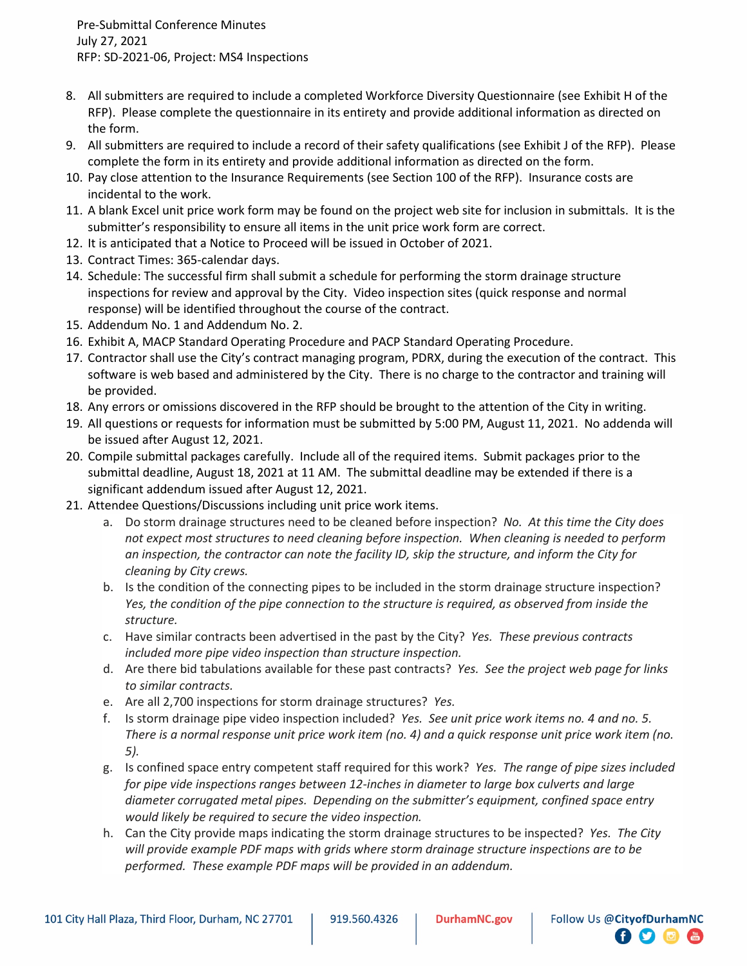Pre-Submittal Conference Minutes July 27, 2021 RFP: SD-2021-06, Project: MS4 Inspections

- 8. All submitters are required to include a completed Workforce Diversity Questionnaire (see Exhibit H of the RFP). Please complete the questionnaire in its entirety and provide additional information as directed on the form.
- 9. All submitters are required to include a record of their safety qualifications (see Exhibit J of the RFP). Please complete the form in its entirety and provide additional information as directed on the form.
- 10. Pay close attention to the Insurance Requirements (see Section 100 of the RFP). Insurance costs are incidental to the work.
- 11. A blank Excel unit price work form may be found on the project web site for inclusion in submittals. It is the submitter's responsibility to ensure all items in the unit price work form are correct.
- 12. It is anticipated that a Notice to Proceed will be issued in October of 2021.
- 13. Contract Times: 365-calendar days.
- 14. Schedule: The successful firm shall submit a schedule for performing the storm drainage structure inspections for review and approval by the City. Video inspection sites (quick response and normal response) will be identified throughout the course of the contract.
- 15. Addendum No. 1 and Addendum No. 2.
- 16. Exhibit A, MACP Standard Operating Procedure and PACP Standard Operating Procedure.
- 17. Contractor shall use the City's contract managing program, PDRX, during the execution of the contract. This software is web based and administered by the City. There is no charge to the contractor and training will be provided.
- 18. Any errors or omissions discovered in the RFP should be brought to the attention of the City in writing.
- 19. All questions or requests for information must be submitted by 5:00 PM, August 11, 2021. No addenda will be issued after August 12, 2021.
- 20. Compile submittal packages carefully. Include all of the required items. Submit packages prior to the submittal deadline, August 18, 2021 at 11 AM. The submittal deadline may be extended if there is a significant addendum issued after August 12, 2021.
- 21. Attendee Questions/Discussions including unit price work items.
	- a. Do storm drainage structures need to be cleaned before inspection? *No. At this time the City does not expect most structures to need cleaning before inspection. When cleaning is needed to perform an inspection, the contractor can note the facility ID, skip the structure, and inform the City for cleaning by City crews.*
	- b. Is the condition of the connecting pipes to be included in the storm drainage structure inspection? *Yes, the condition of the pipe connection to the structure is required, as observed from inside the structure.*
	- c. Have similar contracts been advertised in the past by the City? *Yes. These previous contracts included more pipe video inspection than structure inspection.*
	- d. Are there bid tabulations available for these past contracts? *Yes. See the project web page for links to similar contracts.*
	- e. Are all 2,700 inspections for storm drainage structures? *Yes.*
	- f. Is storm drainage pipe video inspection included? *Yes. See unit price work items no. 4 and no. 5. There is a normal response unit price work item (no. 4) and a quick response unit price work item (no. 5).*
	- g. Is confined space entry competent staff required for this work? *Yes. The range of pipe sizes included for pipe vide inspections ranges between 12-inches in diameter to large box culverts and large diameter corrugated metal pipes. Depending on the submitter's equipment, confined space entry would likely be required to secure the video inspection.*
	- h. Can the City provide maps indicating the storm drainage structures to be inspected? *Yes. The City will provide example PDF maps with grids where storm drainage structure inspections are to be performed. These example PDF maps will be provided in an addendum.*